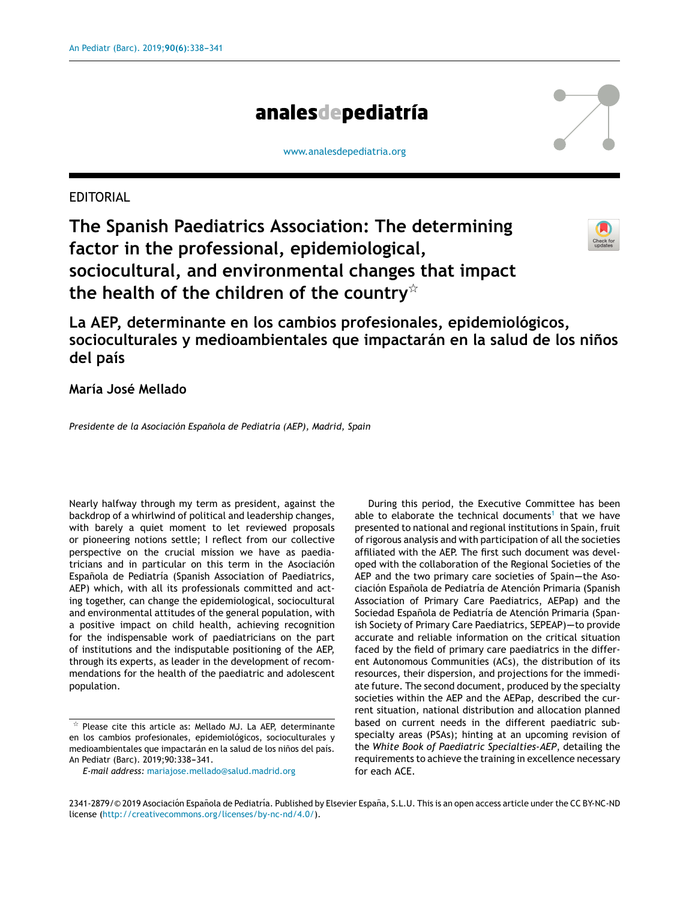# analesdepediatría

#### [www.analesdepediatria.org](http://www.analesdepediatria.org)

## EDITORIAL

**The Spanish Paediatrics Association: The determining factor in the professional, epidemiological, sociocultural, and environmental changes that impact the health of the children of the country**-



**La AEP, determinante en los cambios profesionales, epidemiológicos, socioculturales y medioambientales que impactarán en la salud de los ninos ˜ del país**

## **María José Mellado**

*Presidente de la Asociación Espanola ˜ de Pediatría (AEP), Madrid, Spain*

Nearly halfway through my term as president, against the backdrop of a whirlwind of political and leadership changes, with barely a quiet moment to let reviewed proposals or pioneering notions settle; I reflect from our collective perspective on the crucial mission we have as paediatricians and in particular on this term in the Asociación Española de Pediatría (Spanish Association of Paediatrics, AEP) which, with all its professionals committed and acting together, can change the epidemiological, sociocultural and environmental attitudes of the general population, with a positive impact on child health, achieving recognition for the indispensable work of paediatricians on the part of institutions and the indisputable positioning of the AEP, through its experts, as leader in the development of recommendations for the health of the paediatric and adolescent population.

*E-mail address:* [mariajose.mellado@salud.madrid.org](mailto:mariajose.mellado@salud.madrid.org)

During this period, the Executive Committee has been able to elaborate the technical documents<sup>[1](#page-3-0)</sup> that we have presented to national and regional institutions in Spain, fruit of rigorous analysis and with participation of all the societies affiliated with the AEP. The first such document was developed with the collaboration of the Regional Societies of the AEP and the two primary care societies of Spain--the Asociación Española de Pediatría de Atención Primaria (Spanish Association of Primary Care Paediatrics, AEPap) and the Sociedad Española de Pediatría de Atención Primaria (Spanish Society of Primary Care Paediatrics, SEPEAP)-to provide accurate and reliable information on the critical situation faced by the field of primary care paediatrics in the different Autonomous Communities (ACs), the distribution of its resources, their dispersion, and projections for the immediate future. The second document, produced by the specialty societies within the AEP and the AEPap, described the current situation, national distribution and allocation planned based on current needs in the different paediatric subspecialty areas (PSAs); hinting at an upcoming revision of the *White Book of Paediatric Specialties-AEP*, detailing the requirements to achieve the training in excellence necessary for each ACE.

 $*$  Please cite this article as: Mellado MJ. La AEP, determinante en los cambios profesionales, epidemiológicos, socioculturales y medioambientales que impactarán en la salud de los niños del país. An Pediatr (Barc). 2019;90:338-341.

<sup>2341-2879/© 2019</sup> Asociación Española de Pediatría. Published by Elsevier España, S.L.U. This is an open access article under the CC BY-NC-ND license [\(http://creativecommons.org/licenses/by-nc-nd/4.0/\)](http://creativecommons.org/licenses/by-nc-nd/4.0/).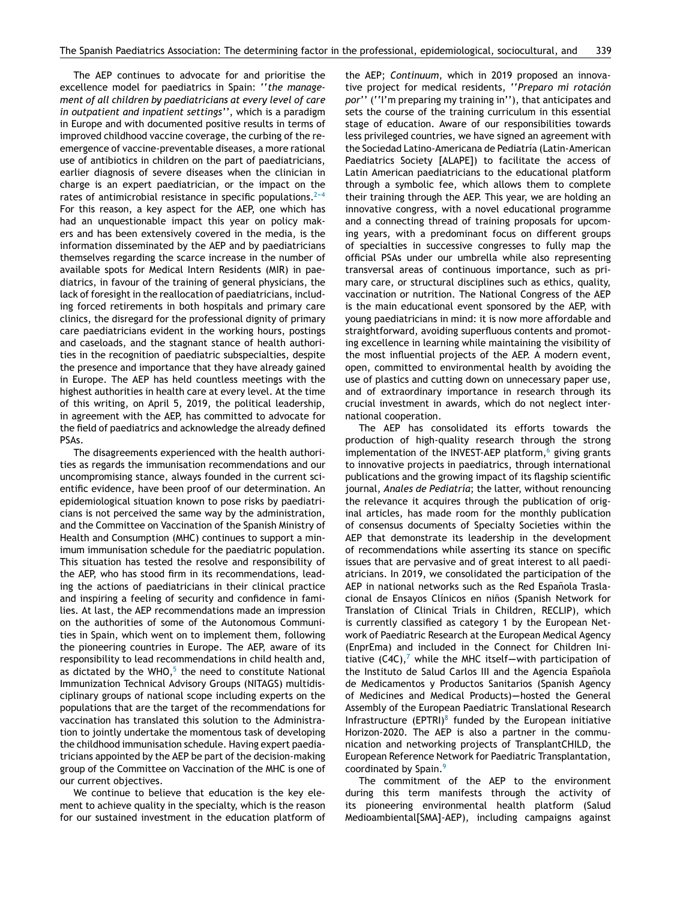The AEP continues to advocate for and prioritise the excellence model for paediatrics in Spain: ''*the management of all children by paediatricians at every level of care in outpatient and inpatient settings''*, which is a paradigm in Europe and with documented positive results in terms of improved childhood vaccine coverage, the curbing of the reemergence of vaccine-preventable diseases, a more rational use of antibiotics in children on the part of paediatricians, earlier diagnosis of severe diseases when the clinician in charge is an expert paediatrician, or the impact on the rates of antimicrobial resistance in specific populations. $2-4$ For this reason, a key aspect for the AEP, one which has had an unquestionable impact this year on policy makers and has been extensively covered in the media, is the information disseminated by the AEP and by paediatricians themselves regarding the scarce increase in the number of available spots for Medical Intern Residents (MIR) in paediatrics, in favour of the training of general physicians, the lack of foresight in the reallocation of paediatricians, including forced retirements in both hospitals and primary care clinics, the disregard for the professional dignity of primary care paediatricians evident in the working hours, postings and caseloads, and the stagnant stance of health authorities in the recognition of paediatric subspecialties, despite the presence and importance that they have already gained in Europe. The AEP has held countless meetings with the highest authorities in health care at every level. At the time of this writing, on April 5, 2019, the political leadership, in agreement with the AEP, has committed to advocate for the field of paediatrics and acknowledge the already defined PSAs.

The disagreements experienced with the health authorities as regards the immunisation recommendations and our uncompromising stance, always founded in the current scientific evidence, have been proof of our determination. An epidemiological situation known to pose risks by paediatricians is not perceived the same way by the administration, and the Committee on Vaccination of the Spanish Ministry of Health and Consumption (MHC) continues to support a minimum immunisation schedule for the paediatric population. This situation has tested the resolve and responsibility of the AEP, who has stood firm in its recommendations, leading the actions of paediatricians in their clinical practice and inspiring a feeling of security and confidence in families. At last, the AEP recommendations made an impression on the authorities of some of the Autonomous Communities in Spain, which went on to implement them, following the pioneering countries in Europe. The AEP, aware of its responsibility to lead recommendations in child health and, as dictated by the WHO, $^5$  $^5$  the need to constitute National Immunization Technical Advisory Groups (NITAGS) multidisciplinary groups of national scope including experts on the populations that are the target of the recommendations for vaccination has translated this solution to the Administration to jointly undertake the momentous task of developing the childhood immunisation schedule. Having expert paediatricians appointed by the AEP be part of the decision-making group of the Committee on Vaccination of the MHC is one of our current objectives.

We continue to believe that education is the key element to achieve quality in the specialty, which is the reason for our sustained investment in the education platform of the AEP; *Continuum*, which in 2019 proposed an innovative project for medical residents, ''*Preparo mi rotación por*'' (''I'm preparing my training in''), that anticipates and sets the course of the training curriculum in this essential stage of education. Aware of our responsibilities towards less privileged countries, we have signed an agreement with the Sociedad Latino-Americana de Pediatría (Latin-American Paediatrics Society [ALAPE]) to facilitate the access of Latin American paediatricians to the educational platform through a symbolic fee, which allows them to complete their training through the AEP. This year, we are holding an innovative congress, with a novel educational programme and a connecting thread of training proposals for upcoming years, with a predominant focus on different groups of specialties in successive congresses to fully map the official PSAs under our umbrella while also representing transversal areas of continuous importance, such as primary care, or structural disciplines such as ethics, quality, vaccination or nutrition. The National Congress of the AEP is the main educational event sponsored by the AEP, with young paediatricians in mind: it is now more affordable and straightforward, avoiding superfluous contents and promoting excellence in learning while maintaining the visibility of the most influential projects of the AEP. A modern event, open, committed to environmental health by avoiding the use of plastics and cutting down on unnecessary paper use, and of extraordinary importance in research through its crucial investment in awards, which do not neglect international cooperation.

The AEP has consolidated its efforts towards the production of high-quality research through the strong implementation of the INVEST-AEP platform, $6$  giving grants to innovative projects in paediatrics, through international publications and the growing impact of its flagship scientific journal, *Anales de Pediatría*; the latter, without renouncing the relevance it acquires through the publication of original articles, has made room for the monthly publication of consensus documents of Specialty Societies within the AEP that demonstrate its leadership in the development of recommendations while asserting its stance on specific issues that are pervasive and of great interest to all paediatricians. In 2019, we consolidated the participation of the AEP in national networks such as the Red Española Traslacional de Ensayos Clínicos en ninos ˜ (Spanish Network for Translation of Clinical Trials in Children, RECLIP), which is currently classified as category 1 by the European Network of Paediatric Research at the European Medical Agency (EnprEma) and included in the Connect for Children Ini-tiative (C4C),<sup>[7](#page-3-0)</sup> while the MHC itself-with participation of the Instituto de Salud Carlos III and the Agencia Española de Medicamentos y Productos Sanitarios (Spanish Agency of Medicines and Medical Products)-hosted the General Assembly of the European Paediatric Translational Research Infrastructure (EPTRI) $8$  funded by the European initiative Horizon-2020. The AEP is also a partner in the communication and networking projects of TransplantCHILD, the European Reference Network for Paediatric Transplantation, coordinated by Spain.<sup>[9](#page-3-0)</sup>

The commitment of the AEP to the environment during this term manifests through the activity of its pioneering environmental health platform (Salud Medioambiental[SMA]-AEP), including campaigns against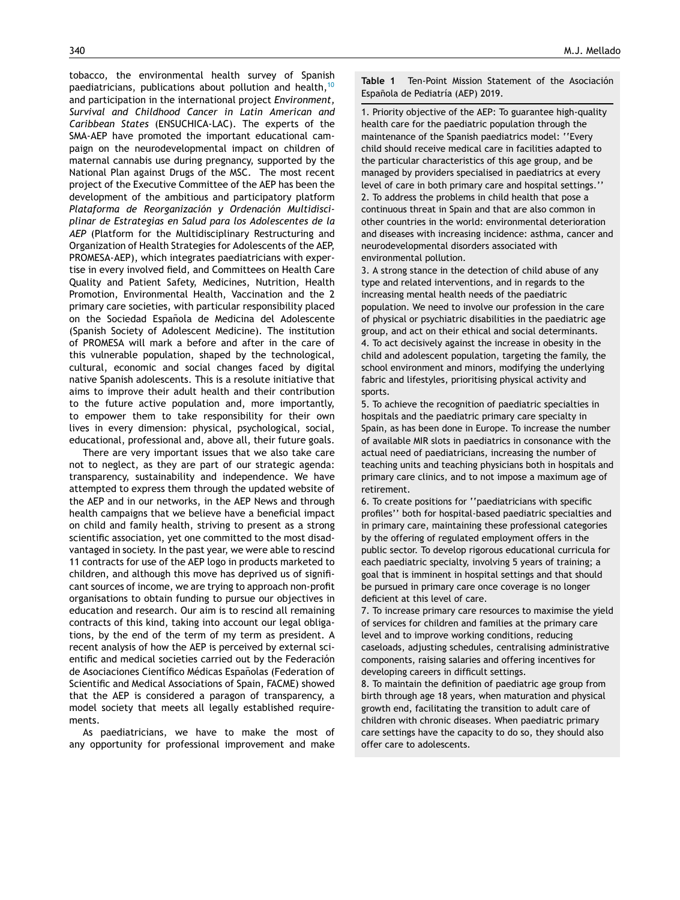<span id="page-2-0"></span>tobacco, the environmental health survey of Spanish paediatricians, publications about pollution and health,[10](#page-3-0) and participation in the international project *Environment, Survival and Childhood Cancer in Latin American and Caribbean States* (ENSUCHICA-LAC). The experts of the SMA-AEP have promoted the important educational campaign on the neurodevelopmental impact on children of maternal cannabis use during pregnancy, supported by the National Plan against Drugs of the MSC. The most recent project of the Executive Committee of the AEP has been the development of the ambitious and participatory platform *Plataforma de Reorganización y Ordenación Multidisciplinar de Estrategias en Salud para los Adolescentes de la AEP* (Platform for the Multidisciplinary Restructuring and Organization of Health Strategies for Adolescents of the AEP, PROMESA-AEP), which integrates paediatricians with expertise in every involved field, and Committees on Health Care Quality and Patient Safety, Medicines, Nutrition, Health Promotion, Environmental Health, Vaccination and the 2 primary care societies, with particular responsibility placed on the Sociedad Española de Medicina del Adolescente (Spanish Society of Adolescent Medicine). The institution of PROMESA will mark a before and after in the care of this vulnerable population, shaped by the technological, cultural, economic and social changes faced by digital native Spanish adolescents. This is a resolute initiative that aims to improve their adult health and their contribution to the future active population and, more importantly, to empower them to take responsibility for their own lives in every dimension: physical, psychological, social, educational, professional and, above all, their future goals.

There are very important issues that we also take care not to neglect, as they are part of our strategic agenda: transparency, sustainability and independence. We have attempted to express them through the updated website of the AEP and in our networks, in the AEP News and through health campaigns that we believe have a beneficial impact on child and family health, striving to present as a strong scientific association, yet one committed to the most disadvantaged in society. In the past year, we were able to rescind 11 contracts for use of the AEP logo in products marketed to children, and although this move has deprived us of significant sources of income, we are trying to approach non-profit organisations to obtain funding to pursue our objectives in education and research. Our aim is to rescind all remaining contracts of this kind, taking into account our legal obligations, by the end of the term of my term as president. A recent analysis of how the AEP is perceived by external scientific and medical societies carried out by the Federación de Asociaciones Científico Médicas Españolas (Federation of Scientific and Medical Associations of Spain, FACME) showed that the AEP is considered a paragon of transparency, a model society that meets all legally established requirements.

As paediatricians, we have to make the most of any opportunity for professional improvement and make **Table 1** Ten-Point Mission Statement of the Asociación Española de Pediatría (AEP) 2019.

1. Priority objective of the AEP: To guarantee high-quality health care for the paediatric population through the maintenance of the Spanish paediatrics model: ''Every child should receive medical care in facilities adapted to the particular characteristics of this age group, and be managed by providers specialised in paediatrics at every level of care in both primary care and hospital settings.'' 2. To address the problems in child health that pose a continuous threat in Spain and that are also common in other countries in the world: environmental deterioration and diseases with increasing incidence: asthma, cancer and neurodevelopmental disorders associated with environmental pollution.

3. A strong stance in the detection of child abuse of any type and related interventions, and in regards to the increasing mental health needs of the paediatric population. We need to involve our profession in the care of physical or psychiatric disabilities in the paediatric age group, and act on their ethical and social determinants. 4. To act decisively against the increase in obesity in the child and adolescent population, targeting the family, the school environment and minors, modifying the underlying fabric and lifestyles, prioritising physical activity and sports.

5. To achieve the recognition of paediatric specialties in hospitals and the paediatric primary care specialty in Spain, as has been done in Europe. To increase the number of available MIR slots in paediatrics in consonance with the actual need of paediatricians, increasing the number of teaching units and teaching physicians both in hospitals and primary care clinics, and to not impose a maximum age of retirement.

6. To create positions for ''paediatricians with specific profiles'' both for hospital-based paediatric specialties and in primary care, maintaining these professional categories by the offering of regulated employment offers in the public sector. To develop rigorous educational curricula for each paediatric specialty, involving 5 years of training; a goal that is imminent in hospital settings and that should be pursued in primary care once coverage is no longer deficient at this level of care.

7. To increase primary care resources to maximise the yield of services for children and families at the primary care level and to improve working conditions, reducing caseloads, adjusting schedules, centralising administrative components, raising salaries and offering incentives for developing careers in difficult settings.

8. To maintain the definition of paediatric age group from birth through age 18 years, when maturation and physical growth end, facilitating the transition to adult care of children with chronic diseases. When paediatric primary care settings have the capacity to do so, they should also offer care to adolescents.